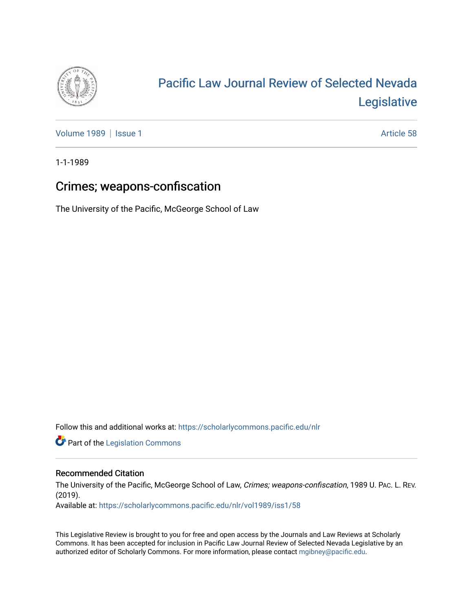

# [Pacific Law Journal Review of Selected Nevada](https://scholarlycommons.pacific.edu/nlr)  [Legislative](https://scholarlycommons.pacific.edu/nlr)

[Volume 1989](https://scholarlycommons.pacific.edu/nlr/vol1989) | [Issue 1](https://scholarlycommons.pacific.edu/nlr/vol1989/iss1) Article 58

1-1-1989

# Crimes; weapons-confiscation

The University of the Pacific, McGeorge School of Law

Follow this and additional works at: [https://scholarlycommons.pacific.edu/nlr](https://scholarlycommons.pacific.edu/nlr?utm_source=scholarlycommons.pacific.edu%2Fnlr%2Fvol1989%2Fiss1%2F58&utm_medium=PDF&utm_campaign=PDFCoverPages) 

**Part of the [Legislation Commons](http://network.bepress.com/hgg/discipline/859?utm_source=scholarlycommons.pacific.edu%2Fnlr%2Fvol1989%2Fiss1%2F58&utm_medium=PDF&utm_campaign=PDFCoverPages)** 

## Recommended Citation

The University of the Pacific, McGeorge School of Law, Crimes; weapons-confiscation, 1989 U. PAC. L. REV. (2019).

Available at: [https://scholarlycommons.pacific.edu/nlr/vol1989/iss1/58](https://scholarlycommons.pacific.edu/nlr/vol1989/iss1/58?utm_source=scholarlycommons.pacific.edu%2Fnlr%2Fvol1989%2Fiss1%2F58&utm_medium=PDF&utm_campaign=PDFCoverPages)

This Legislative Review is brought to you for free and open access by the Journals and Law Reviews at Scholarly Commons. It has been accepted for inclusion in Pacific Law Journal Review of Selected Nevada Legislative by an authorized editor of Scholarly Commons. For more information, please contact [mgibney@pacific.edu](mailto:mgibney@pacific.edu).